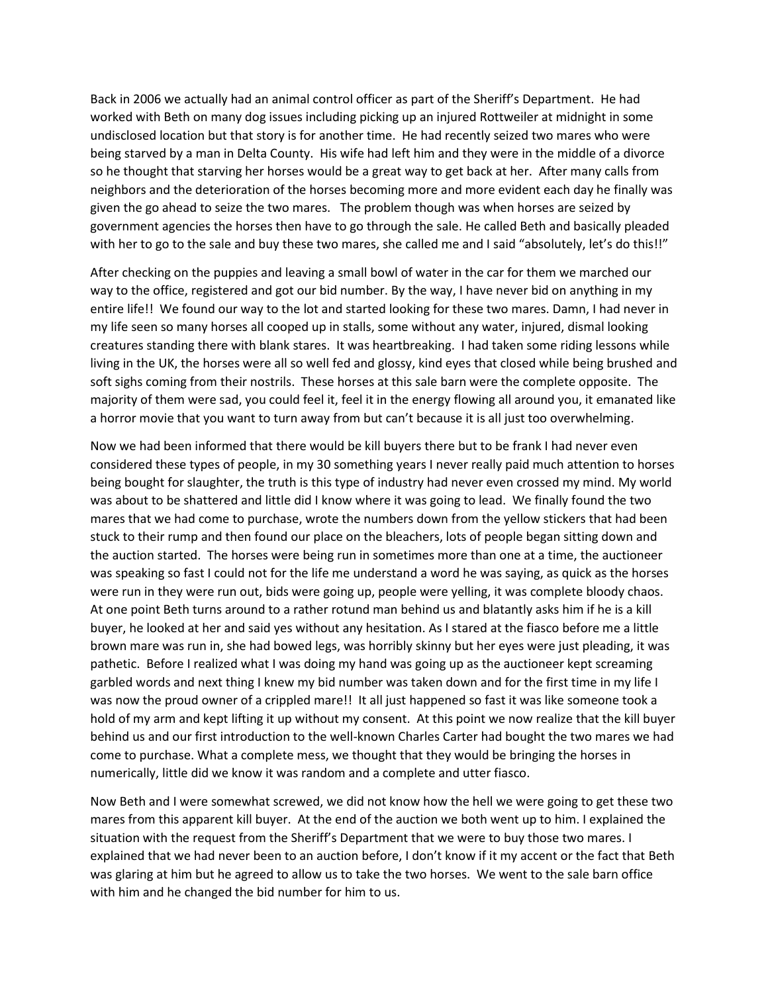Back in 2006 we actually had an animal control officer as part of the Sheriff's Department. He had worked with Beth on many dog issues including picking up an injured Rottweiler at midnight in some undisclosed location but that story is for another time. He had recently seized two mares who were being starved by a man in Delta County. His wife had left him and they were in the middle of a divorce so he thought that starving her horses would be a great way to get back at her. After many calls from neighbors and the deterioration of the horses becoming more and more evident each day he finally was given the go ahead to seize the two mares. The problem though was when horses are seized by government agencies the horses then have to go through the sale. He called Beth and basically pleaded with her to go to the sale and buy these two mares, she called me and I said "absolutely, let's do this!!"

After checking on the puppies and leaving a small bowl of water in the car for them we marched our way to the office, registered and got our bid number. By the way, I have never bid on anything in my entire life!! We found our way to the lot and started looking for these two mares. Damn, I had never in my life seen so many horses all cooped up in stalls, some without any water, injured, dismal looking creatures standing there with blank stares. It was heartbreaking. I had taken some riding lessons while living in the UK, the horses were all so well fed and glossy, kind eyes that closed while being brushed and soft sighs coming from their nostrils. These horses at this sale barn were the complete opposite. The majority of them were sad, you could feel it, feel it in the energy flowing all around you, it emanated like a horror movie that you want to turn away from but can't because it is all just too overwhelming.

Now we had been informed that there would be kill buyers there but to be frank I had never even considered these types of people, in my 30 something years I never really paid much attention to horses being bought for slaughter, the truth is this type of industry had never even crossed my mind. My world was about to be shattered and little did I know where it was going to lead. We finally found the two mares that we had come to purchase, wrote the numbers down from the yellow stickers that had been stuck to their rump and then found our place on the bleachers, lots of people began sitting down and the auction started. The horses were being run in sometimes more than one at a time, the auctioneer was speaking so fast I could not for the life me understand a word he was saying, as quick as the horses were run in they were run out, bids were going up, people were yelling, it was complete bloody chaos. At one point Beth turns around to a rather rotund man behind us and blatantly asks him if he is a kill buyer, he looked at her and said yes without any hesitation. As I stared at the fiasco before me a little brown mare was run in, she had bowed legs, was horribly skinny but her eyes were just pleading, it was pathetic. Before I realized what I was doing my hand was going up as the auctioneer kept screaming garbled words and next thing I knew my bid number was taken down and for the first time in my life I was now the proud owner of a crippled mare!! It all just happened so fast it was like someone took a hold of my arm and kept lifting it up without my consent. At this point we now realize that the kill buyer behind us and our first introduction to the well-known Charles Carter had bought the two mares we had come to purchase. What a complete mess, we thought that they would be bringing the horses in numerically, little did we know it was random and a complete and utter fiasco.

Now Beth and I were somewhat screwed, we did not know how the hell we were going to get these two mares from this apparent kill buyer. At the end of the auction we both went up to him. I explained the situation with the request from the Sheriff's Department that we were to buy those two mares. I explained that we had never been to an auction before, I don't know if it my accent or the fact that Beth was glaring at him but he agreed to allow us to take the two horses. We went to the sale barn office with him and he changed the bid number for him to us.